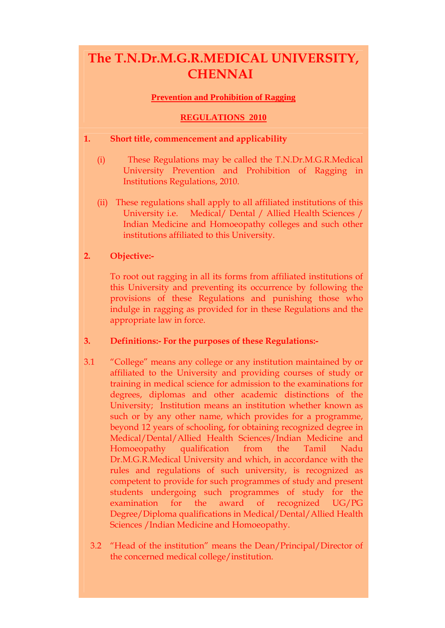# **The T.N.Dr.M.G.R.MEDICAL UNIVERSITY, CHENNAI**

# **Prevention and Prohibition of Ragging**

# **REGULATIONS 2010**

## **1. Short title, commencement and applicability**

- (i) These Regulations may be called the T.N.Dr.M.G.R.Medical University Prevention and Prohibition of Ragging in Institutions Regulations, 2010.
- (ii) These regulations shall apply to all affiliated institutions of this University i.e. Medical/ Dental / Allied Health Sciences / Indian Medicine and Homoeopathy colleges and such other institutions affiliated to this University.

# **2. Objective:-**

To root out ragging in all its forms from affiliated institutions of this University and preventing its occurrence by following the provisions of these Regulations and punishing those who indulge in ragging as provided for in these Regulations and the appropriate law in force.

# **3. Definitions:- For the purposes of these Regulations:-**

- 3.1 "College" means any college or any institution maintained by or affiliated to the University and providing courses of study or training in medical science for admission to the examinations for degrees, diplomas and other academic distinctions of the University; Institution means an institution whether known as such or by any other name, which provides for a programme, beyond 12 years of schooling, for obtaining recognized degree in Medical/Dental/Allied Health Sciences/Indian Medicine and Homoeopathy qualification from the Tamil Nadu Dr.M.G.R.Medical University and which, in accordance with the rules and regulations of such university, is recognized as competent to provide for such programmes of study and present students undergoing such programmes of study for the examination for the award of recognized UG/PG Degree/Diploma qualifications in Medical/Dental/Allied Health Sciences /Indian Medicine and Homoeopathy.
	- 3.2 "Head of the institution" means the Dean/Principal/Director of the concerned medical college/institution.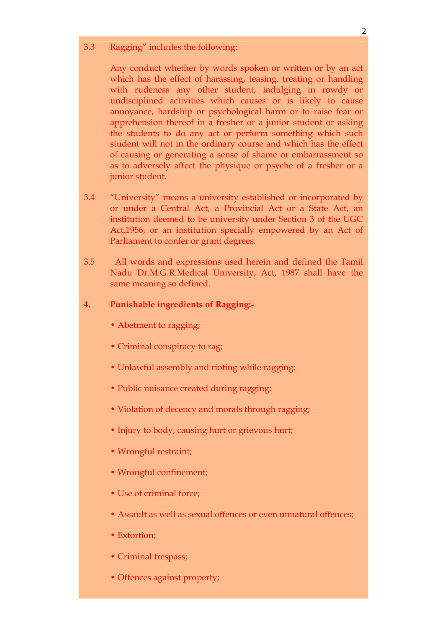3.3 Ragging" includes the following:

Any conduct whether by words spoken or written or by an act which has the effect of harassing, teasing, treating or handling with rudeness any other student, indulging in rowdy or undisciplined activities which causes or is likely to cause annoyance, hardship or psychological harm or to raise fear or apprehension thereof in a fresher or a junior student or asking the students to do any act or perform something which such student will not in the ordinary course and which has the effect of causing or generating a sense of shame or embarrassment so as to adversely affect the physique or psyche of a fresher or a junior student.

- 3.4 "University" means a university established or incorporated by or under a Central Act, a Provincial Act or a State Act, an institution deemed to be university under Section 3 of the UGC Act,1956, or an institution specially empowered by an Act of Parliament to confer or grant degrees.
- 3.5 All words and expressions used herein and defined the Tamil Nadu Dr.M.G.R.Medical University, Act, 1987 shall have the same meaning so defined.

# **4. Punishable ingredients of Ragging:-**

- Abetment to ragging;
- Criminal conspiracy to rag;
- Unlawful assembly and rioting while ragging;
- Public nuisance created during ragging;
- Violation of decency and morals through ragging;
- Injury to body, causing hurt or grievous hurt;
- Wrongful restraint;
- Wrongful confinement;
- Use of criminal force;
- Assault as well as sexual offences or even unnatural offences;
- Extortion;
- Criminal trespass;
- Offences against property;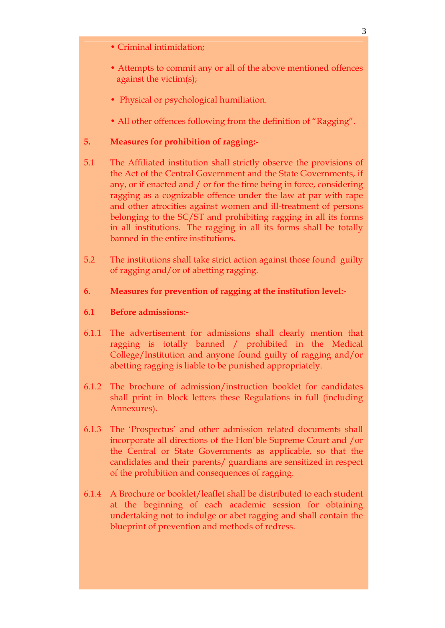- Criminal intimidation;
- Attempts to commit any or all of the above mentioned offences against the victim(s);
- Physical or psychological humiliation.
- All other offences following from the definition of "Ragging".

# **5. Measures for prohibition of ragging:-**

- 5.1 The Affiliated institution shall strictly observe the provisions of the Act of the Central Government and the State Governments, if any, or if enacted and / or for the time being in force, considering ragging as a cognizable offence under the law at par with rape and other atrocities against women and ill-treatment of persons belonging to the SC/ST and prohibiting ragging in all its forms in all institutions. The ragging in all its forms shall be totally banned in the entire institutions.
- 5.2 The institutions shall take strict action against those found guilty of ragging and/or of abetting ragging.

## **6. Measures for prevention of ragging at the institution level:-**

## **6.1 Before admissions:-**

- 6.1.1 The advertisement for admissions shall clearly mention that ragging is totally banned / prohibited in the Medical College/Institution and anyone found guilty of ragging and/or abetting ragging is liable to be punished appropriately.
- 6.1.2 The brochure of admission/instruction booklet for candidates shall print in block letters these Regulations in full (including Annexures).
- 6.1.3 The 'Prospectus' and other admission related documents shall incorporate all directions of the Hon'ble Supreme Court and /or the Central or State Governments as applicable, so that the candidates and their parents/ guardians are sensitized in respect of the prohibition and consequences of ragging.
- 6.1.4 A Brochure or booklet/leaflet shall be distributed to each student at the beginning of each academic session for obtaining undertaking not to indulge or abet ragging and shall contain the blueprint of prevention and methods of redress.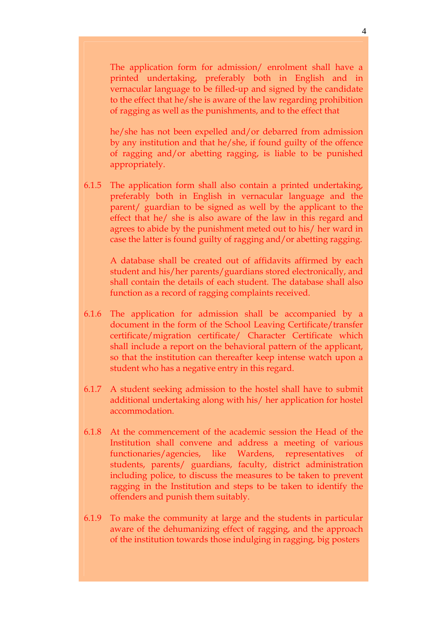The application form for admission/ enrolment shall have a printed undertaking, preferably both in English and in vernacular language to be filled-up and signed by the candidate to the effect that he/she is aware of the law regarding prohibition of ragging as well as the punishments, and to the effect that

he/she has not been expelled and/or debarred from admission by any institution and that he/she, if found guilty of the offence of ragging and/or abetting ragging, is liable to be punished appropriately.

6.1.5 The application form shall also contain a printed undertaking, preferably both in English in vernacular language and the parent/ guardian to be signed as well by the applicant to the effect that he/ she is also aware of the law in this regard and agrees to abide by the punishment meted out to his/ her ward in case the latter is found guilty of ragging and/or abetting ragging.

A database shall be created out of affidavits affirmed by each student and his/her parents/guardians stored electronically, and shall contain the details of each student. The database shall also function as a record of ragging complaints received.

- 6.1.6 The application for admission shall be accompanied by a document in the form of the School Leaving Certificate/transfer certificate/migration certificate/ Character Certificate which shall include a report on the behavioral pattern of the applicant, so that the institution can thereafter keep intense watch upon a student who has a negative entry in this regard.
- 6.1.7 A student seeking admission to the hostel shall have to submit additional undertaking along with his/ her application for hostel accommodation.
- 6.1.8 At the commencement of the academic session the Head of the Institution shall convene and address a meeting of various functionaries/agencies, like Wardens, representatives of students, parents/ guardians, faculty, district administration including police, to discuss the measures to be taken to prevent ragging in the Institution and steps to be taken to identify the offenders and punish them suitably.
- 6.1.9 To make the community at large and the students in particular aware of the dehumanizing effect of ragging, and the approach of the institution towards those indulging in ragging, big posters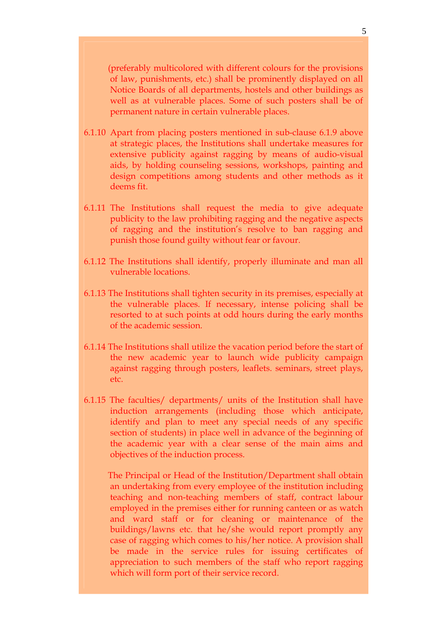(preferably multicolored with different colours for the provisions of law, punishments, etc.) shall be prominently displayed on all Notice Boards of all departments, hostels and other buildings as well as at vulnerable places. Some of such posters shall be of permanent nature in certain vulnerable places.

- 6.1.10 Apart from placing posters mentioned in sub-clause 6.1.9 above at strategic places, the Institutions shall undertake measures for extensive publicity against ragging by means of audio-visual aids, by holding counseling sessions, workshops, painting and design competitions among students and other methods as it deems fit.
- 6.1.11 The Institutions shall request the media to give adequate publicity to the law prohibiting ragging and the negative aspects of ragging and the institution's resolve to ban ragging and punish those found guilty without fear or favour.
- 6.1.12 The Institutions shall identify, properly illuminate and man all vulnerable locations.
- 6.1.13 The Institutions shall tighten security in its premises, especially at the vulnerable places. If necessary, intense policing shall be resorted to at such points at odd hours during the early months of the academic session.
- 6.1.14 The Institutions shall utilize the vacation period before the start of the new academic year to launch wide publicity campaign against ragging through posters, leaflets. seminars, street plays, etc.
- 6.1.15 The faculties/ departments/ units of the Institution shall have induction arrangements (including those which anticipate, identify and plan to meet any special needs of any specific section of students) in place well in advance of the beginning of the academic year with a clear sense of the main aims and objectives of the induction process.

 The Principal or Head of the Institution/Department shall obtain an undertaking from every employee of the institution including teaching and non-teaching members of staff, contract labour employed in the premises either for running canteen or as watch and ward staff or for cleaning or maintenance of the buildings/lawns etc. that he/she would report promptly any case of ragging which comes to his/her notice. A provision shall be made in the service rules for issuing certificates of appreciation to such members of the staff who report ragging which will form port of their service record.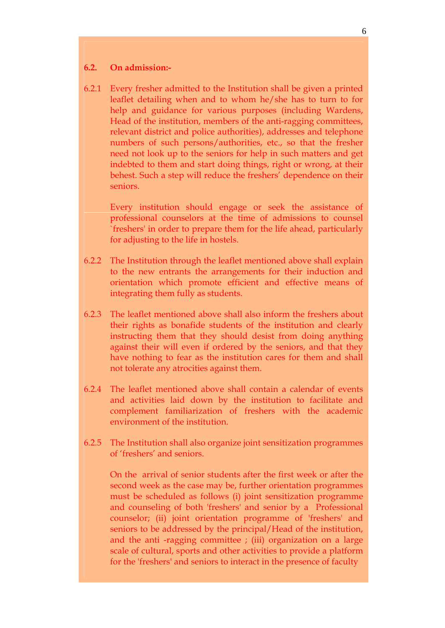#### **6.2. On admission:-**

6.2.1 Every fresher admitted to the Institution shall be given a printed leaflet detailing when and to whom he/she has to turn to for help and guidance for various purposes (including Wardens, Head of the institution, members of the anti-ragging committees, relevant district and police authorities), addresses and telephone numbers of such persons/authorities, etc., so that the fresher need not look up to the seniors for help in such matters and get indebted to them and start doing things, right or wrong, at their behest. Such a step will reduce the freshers' dependence on their seniors.

Every institution should engage or seek the assistance of professional counselors at the time of admissions to counsel `freshers' in order to prepare them for the life ahead, particularly for adjusting to the life in hostels.

- 6.2.2 The Institution through the leaflet mentioned above shall explain to the new entrants the arrangements for their induction and orientation which promote efficient and effective means of integrating them fully as students.
- 6.2.3 The leaflet mentioned above shall also inform the freshers about their rights as bonafide students of the institution and clearly instructing them that they should desist from doing anything against their will even if ordered by the seniors, and that they have nothing to fear as the institution cares for them and shall not tolerate any atrocities against them.
- 6.2.4 The leaflet mentioned above shall contain a calendar of events and activities laid down by the institution to facilitate and complement familiarization of freshers with the academic environment of the institution.
- 6.2.5 The Institution shall also organize joint sensitization programmes of 'freshers' and seniors.

On the arrival of senior students after the first week or after the second week as the case may be, further orientation programmes must be scheduled as follows (i) joint sensitization programme and counseling of both 'freshers' and senior by a Professional counselor; (ii) joint orientation programme of 'freshers' and seniors to be addressed by the principal/Head of the institution, and the anti -ragging committee ; (iii) organization on a large scale of cultural, sports and other activities to provide a platform for the 'freshers' and seniors to interact in the presence of faculty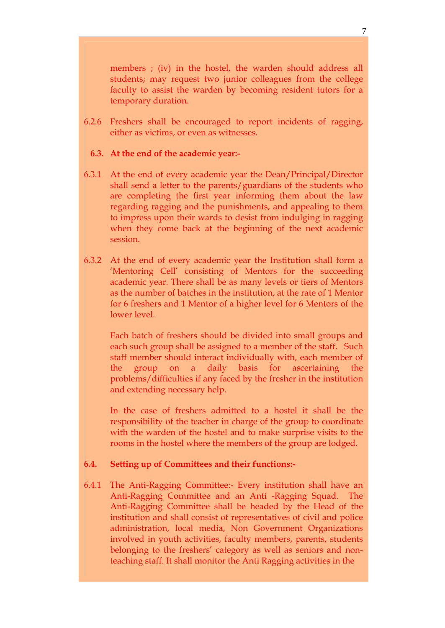members ; (iv) in the hostel, the warden should address all students; may request two junior colleagues from the college faculty to assist the warden by becoming resident tutors for a temporary duration.

6.2.6 Freshers shall be encouraged to report incidents of ragging, either as victims, or even as witnesses.

#### **6.3. At the end of the academic year:-**

- 6.3.1 At the end of every academic year the Dean/Principal/Director shall send a letter to the parents/guardians of the students who are completing the first year informing them about the law regarding ragging and the punishments, and appealing to them to impress upon their wards to desist from indulging in ragging when they come back at the beginning of the next academic session.
- 6.3.2 At the end of every academic year the Institution shall form a 'Mentoring Cell' consisting of Mentors for the succeeding academic year. There shall be as many levels or tiers of Mentors as the number of batches in the institution, at the rate of 1 Mentor for 6 freshers and 1 Mentor of a higher level for 6 Mentors of the lower level.

Each batch of freshers should be divided into small groups and each such group shall be assigned to a member of the staff. Such staff member should interact individually with, each member of the group on a daily basis for ascertaining the problems/difficulties if any faced by the fresher in the institution and extending necessary help.

In the case of freshers admitted to a hostel it shall be the responsibility of the teacher in charge of the group to coordinate with the warden of the hostel and to make surprise visits to the rooms in the hostel where the members of the group are lodged.

#### **6.4. Setting up of Committees and their functions:-**

6.4.1 The Anti-Ragging Committee:- Every institution shall have an Anti-Ragging Committee and an Anti -Ragging Squad. The Anti-Ragging Committee shall be headed by the Head of the institution and shall consist of representatives of civil and police administration, local media, Non Government Organizations involved in youth activities, faculty members, parents, students belonging to the freshers' category as well as seniors and nonteaching staff. It shall monitor the Anti Ragging activities in the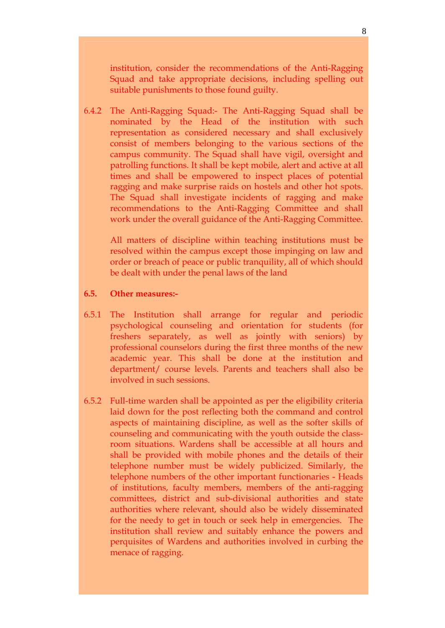institution, consider the recommendations of the Anti-Ragging Squad and take appropriate decisions, including spelling out suitable punishments to those found guilty.

6.4.2 The Anti-Ragging Squad:- The Anti-Ragging Squad shall be nominated by the Head of the institution with such representation as considered necessary and shall exclusively consist of members belonging to the various sections of the campus community. The Squad shall have vigil, oversight and patrolling functions. It shall be kept mobile, alert and active at all times and shall be empowered to inspect places of potential ragging and make surprise raids on hostels and other hot spots. The Squad shall investigate incidents of ragging and make recommendations to the Anti-Ragging Committee and shall work under the overall guidance of the Anti-Ragging Committee.

 All matters of discipline within teaching institutions must be resolved within the campus except those impinging on law and order or breach of peace or public tranquility, all of which should be dealt with under the penal laws of the land

#### **6.5. Other measures:-**

- 6.5.1 The Institution shall arrange for regular and periodic psychological counseling and orientation for students (for freshers separately, as well as jointly with seniors) by professional counselors during the first three months of the new academic year. This shall be done at the institution and department/ course levels. Parents and teachers shall also be involved in such sessions.
- 6.5.2 Full-time warden shall be appointed as per the eligibility criteria laid down for the post reflecting both the command and control aspects of maintaining discipline, as well as the softer skills of counseling and communicating with the youth outside the classroom situations. Wardens shall be accessible at all hours and shall be provided with mobile phones and the details of their telephone number must be widely publicized. Similarly, the telephone numbers of the other important functionaries - Heads of institutions, faculty members, members of the anti-ragging committees, district and sub-divisional authorities and state authorities where relevant, should also be widely disseminated for the needy to get in touch or seek help in emergencies. The institution shall review and suitably enhance the powers and perquisites of Wardens and authorities involved in curbing the menace of ragging.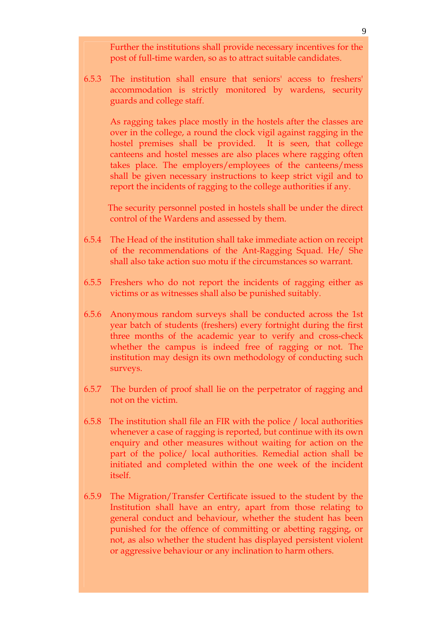Further the institutions shall provide necessary incentives for the post of full-time warden, so as to attract suitable candidates.

6.5.3 The institution shall ensure that seniors' access to freshers' accommodation is strictly monitored by wardens, security guards and college staff.

As ragging takes place mostly in the hostels after the classes are over in the college, a round the clock vigil against ragging in the hostel premises shall be provided. It is seen, that college canteens and hostel messes are also places where ragging often takes place. The employers/employees of the canteens/mess shall be given necessary instructions to keep strict vigil and to report the incidents of ragging to the college authorities if any.

 The security personnel posted in hostels shall be under the direct control of the Wardens and assessed by them.

- 6.5.4 The Head of the institution shall take immediate action on receipt of the recommendations of the Ant-Ragging Squad. He/ She shall also take action suo motu if the circumstances so warrant.
- 6.5.5 Freshers who do not report the incidents of ragging either as victims or as witnesses shall also be punished suitably.
- 6.5.6 Anonymous random surveys shall be conducted across the 1st year batch of students (freshers) every fortnight during the first three months of the academic year to verify and cross-check whether the campus is indeed free of ragging or not. The institution may design its own methodology of conducting such surveys.
- 6.5.7 The burden of proof shall lie on the perpetrator of ragging and not on the victim.
- 6.5.8 The institution shall file an FIR with the police / local authorities whenever a case of ragging is reported, but continue with its own enquiry and other measures without waiting for action on the part of the police/ local authorities. Remedial action shall be initiated and completed within the one week of the incident itself.
- 6.5.9 The Migration/Transfer Certificate issued to the student by the Institution shall have an entry, apart from those relating to general conduct and behaviour, whether the student has been punished for the offence of committing or abetting ragging, or not, as also whether the student has displayed persistent violent or aggressive behaviour or any inclination to harm others.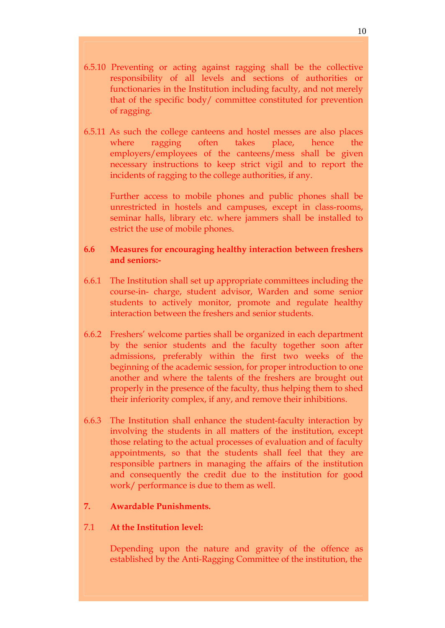- 6.5.10 Preventing or acting against ragging shall be the collective responsibility of all levels and sections of authorities or functionaries in the Institution including faculty, and not merely that of the specific body/ committee constituted for prevention of ragging.
- 6.5.11 As such the college canteens and hostel messes are also places where ragging often takes place, hence the employers/employees of the canteens/mess shall be given necessary instructions to keep strict vigil and to report the incidents of ragging to the college authorities, if any.

Further access to mobile phones and public phones shall be unrestricted in hostels and campuses, except in class-rooms, seminar halls, library etc. where jammers shall be installed to estrict the use of mobile phones.

## **6.6 Measures for encouraging healthy interaction between freshers and seniors:-**

- 6.6.1 The Institution shall set up appropriate committees including the course-in- charge, student advisor, Warden and some senior students to actively monitor, promote and regulate healthy interaction between the freshers and senior students.
- 6.6.2 Freshers' welcome parties shall be organized in each department by the senior students and the faculty together soon after admissions, preferably within the first two weeks of the beginning of the academic session, for proper introduction to one another and where the talents of the freshers are brought out properly in the presence of the faculty, thus helping them to shed their inferiority complex, if any, and remove their inhibitions.
- 6.6.3 The Institution shall enhance the student-faculty interaction by involving the students in all matters of the institution, except those relating to the actual processes of evaluation and of faculty appointments, so that the students shall feel that they are responsible partners in managing the affairs of the institution and consequently the credit due to the institution for good work/ performance is due to them as well.

# **7. Awardable Punishments.**

#### 7.1 **At the Institution level:**

Depending upon the nature and gravity of the offence as established by the Anti-Ragging Committee of the institution, the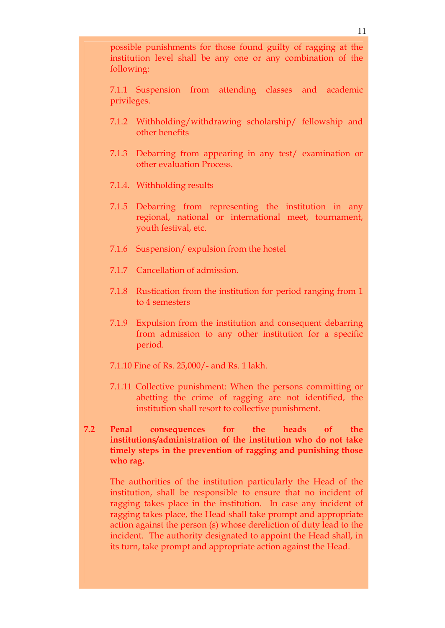7.1.1 Suspension from attending classes and academic privileges.

- 7.1.2 Withholding/withdrawing scholarship/ fellowship and other benefits
- 7.1.3 Debarring from appearing in any test/ examination or other evaluation Process.
- 7.1.4. Withholding results
- 7.1.5 Debarring from representing the institution in any regional, national or international meet, tournament, youth festival, etc.
- 7.1.6 Suspension/ expulsion from the hostel
- 7.1.7 Cancellation of admission.
- 7.1.8 Rustication from the institution for period ranging from 1 to 4 semesters
- 7.1.9 Expulsion from the institution and consequent debarring from admission to any other institution for a specific period.
- 7.1.10 Fine of Rs. 25,000/- and Rs. 1 lakh.
- 7.1.11 Collective punishment: When the persons committing or abetting the crime of ragging are not identified, the institution shall resort to collective punishment.
- **7.2 Penal consequences for the heads of the institutions/administration of the institution who do not take timely steps in the prevention of ragging and punishing those who rag.**

The authorities of the institution particularly the Head of the institution, shall be responsible to ensure that no incident of ragging takes place in the institution. In case any incident of ragging takes place, the Head shall take prompt and appropriate action against the person (s) whose dereliction of duty lead to the incident. The authority designated to appoint the Head shall, in its turn, take prompt and appropriate action against the Head.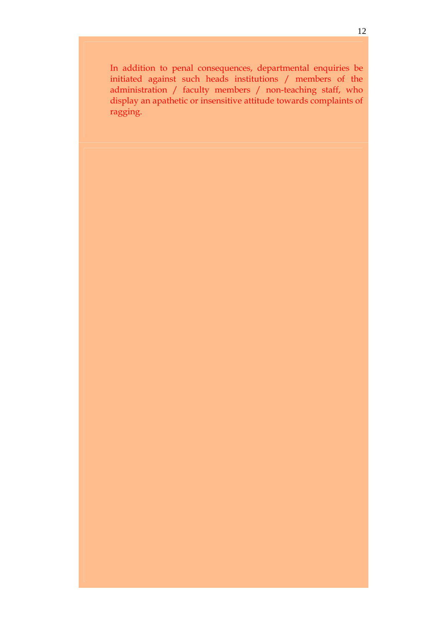In addition to penal consequences, departmental enquiries be initiated against such heads institutions / members of the administration / faculty members / non-teaching staff, who display an apathetic or insensitive attitude towards complaints of ragging.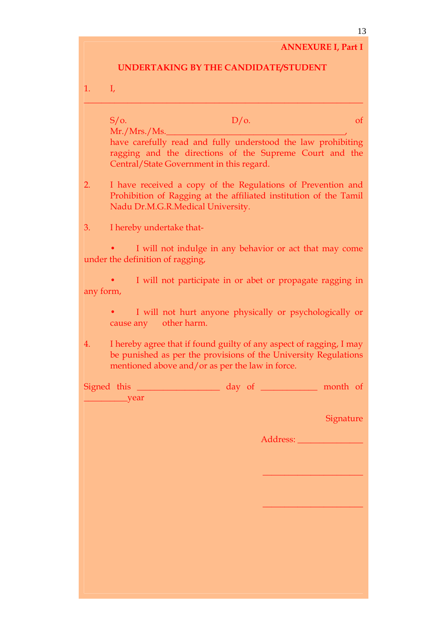#### **ANNEXURE I, Part I**

### **UNDERTAKING BY THE CANDIDATE/STUDENT**

\_\_\_\_\_\_\_\_\_\_\_\_\_\_\_\_\_\_\_\_\_\_\_\_\_\_\_\_\_\_\_\_\_\_\_\_\_\_\_\_\_\_\_\_\_\_\_\_\_\_\_\_\_\_\_\_\_\_\_\_\_\_\_\_

| L. |  | ı, |
|----|--|----|

 $S/O.$  of  $D/O.$  $Mr./Mrs./Ms.$ have carefully read and fully understood the law prohibiting ragging and the directions of the Supreme Court and the Central/State Government in this regard. 2. I have received a copy of the Regulations of Prevention and

- Prohibition of Ragging at the affiliated institution of the Tamil Nadu Dr.M.G.R.Medical University.
- 3. I hereby undertake that-

I will not indulge in any behavior or act that may come under the definition of ragging,

I will not participate in or abet or propagate ragging in any form,

- I will not hurt anyone physically or psychologically or cause any other harm.
- 4. I hereby agree that if found guilty of any aspect of ragging, I may be punished as per the provisions of the University Regulations mentioned above and/or as per the law in force.

Signed this \_\_\_\_\_\_\_\_\_\_\_\_\_\_\_\_\_\_\_\_ day of \_\_\_\_\_\_\_\_\_\_\_\_ month of \_\_\_\_\_\_\_\_\_\_year

Signature

Address: \_\_\_\_\_\_\_\_\_\_\_\_\_\_\_

 $\overline{\phantom{a}}$  , where  $\overline{\phantom{a}}$  , where  $\overline{\phantom{a}}$ 

 $\overline{\phantom{a}}$  , where  $\overline{\phantom{a}}$  , where  $\overline{\phantom{a}}$ 

13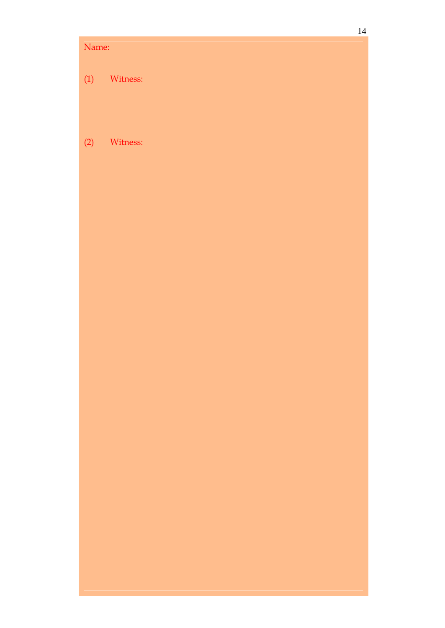# Name: (1) Witness:

# (2) Witness: